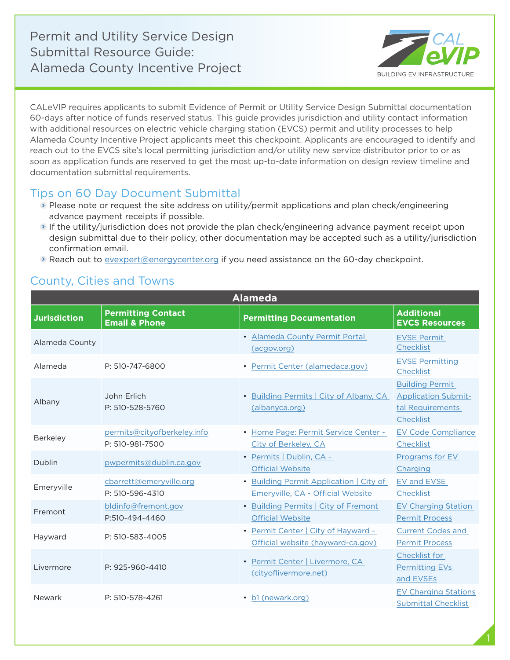Permit and Utility Service Design Submittal Resource Guide: Alameda County Incentive Project



CALeVIP requires applicants to submit Evidence of Permit or Utility Service Design Submittal documentation 60-days after notice of funds reserved status. This guide provides jurisdiction and utility contact information with additional resources on electric vehicle charging station (EVCS) permit and utility processes to help Alameda County Incentive Project applicants meet this checkpoint. Applicants are encouraged to identify and reach out to the EVCS site's local permitting jurisdiction and/or utility new service distributor prior to or as soon as application funds are reserved to get the most up-to-date information on design review timeline and documentation submittal requirements.

## Tips on 60 Day Document Submittal

- Please note or request the site address on utility/permit applications and plan check/engineering advance payment receipts if possible.
- If the utility/jurisdiction does not provide the plan check/engineering advance payment receipt upon design submittal due to their policy, other documentation may be accepted such as a utility/jurisdiction confirmation email.
- **Reach out to [evexpert@energycenter.org](mailto:evexpert%40energycenter.org?subject=) if you need assistance on the 60-day checkpoint.**

## County, Cities and Towns

| <b>Alameda</b>      |                                                       |                                                                              |                                                                                       |  |
|---------------------|-------------------------------------------------------|------------------------------------------------------------------------------|---------------------------------------------------------------------------------------|--|
| <b>Jurisdiction</b> | <b>Permitting Contact</b><br><b>Email &amp; Phone</b> | <b>Permitting Documentation</b>                                              | <b>Additional</b><br><b>EVCS Resources</b>                                            |  |
| Alameda County      |                                                       | • Alameda County Permit Portal<br>(acgov.org)                                | <b>EVSE Permit</b><br>Checklist                                                       |  |
| Alameda             | P: 510-747-6800                                       | • Permit Center (alamedaca.gov)                                              | <b>EVSE Permitting</b><br>Checklist                                                   |  |
| Albany              | John Erlich<br>P: 510-528-5760                        | • Building Permits   City of Albany, CA<br>(albanyca.org)                    | <b>Building Permit</b><br><b>Application Submit-</b><br>tal Requirements<br>Checklist |  |
| <b>Berkeley</b>     | permits@cityofberkeley.info<br>P: 510-981-7500        | • Home Page: Permit Service Center -<br>City of Berkeley, CA                 | <b>EV Code Compliance</b><br>Checklist                                                |  |
| Dublin              | pwpermits@dublin.ca.gov                               | • Permits   Dublin, CA -<br><b>Official Website</b>                          | Programs for EV<br>Charging                                                           |  |
| Emeryville          | cbarrett@emeryville.org<br>P: 510-596-4310            | • Building Permit Application   City of<br>Emeryville, CA - Official Website | EV and EVSE<br>Checklist                                                              |  |
| Fremont             | bldinfo@fremont.gov<br>P:510-494-4460                 | • Building Permits   City of Fremont<br><b>Official Website</b>              | <b>EV Charging Station</b><br><b>Permit Process</b>                                   |  |
| Hayward             | P: 510-583-4005                                       | • Permit Center   City of Hayward -<br>Official website (hayward-ca.gov)     | <b>Current Codes and</b><br><b>Permit Process</b>                                     |  |
| Livermore           | P: 925-960-4410                                       | • Permit Center   Livermore, CA<br>(cityoflivermore.net)                     | Checklist for<br><b>Permitting EVs</b><br>and EVSEs                                   |  |
| Newark              | P: 510-578-4261                                       | • b1 (newark.org)                                                            | <b>EV Charging Stations</b><br><b>Submittal Checklist</b>                             |  |